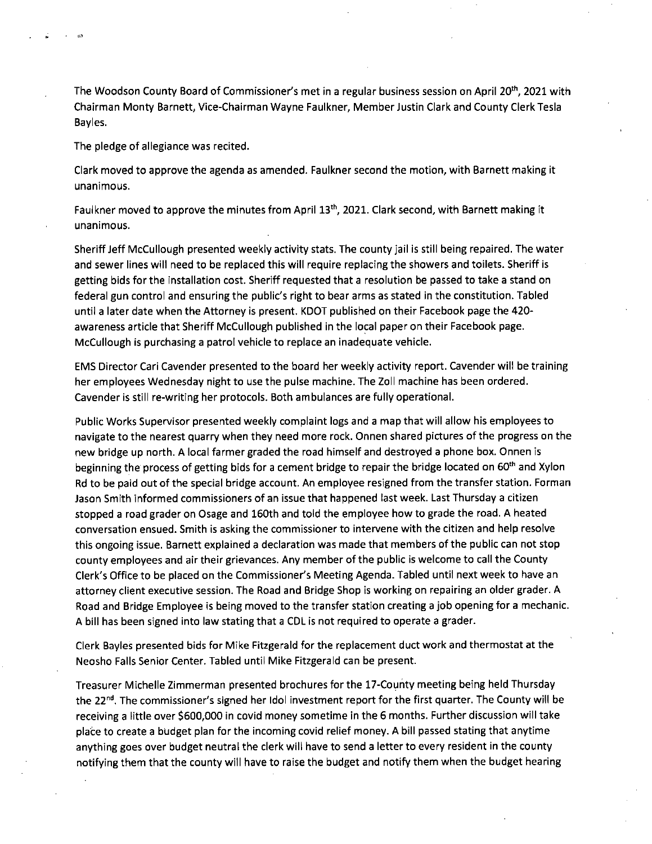The Woodson County Board of Commissioner's met in a regular business session on April 20<sup>th</sup>, 2021 with Chairman Monty Barnett, Vice-Chairman Wayne Faulkner, Member Justin Clark and County Clerk Tesla Bayles.

The pledge of allegiance was recited.

Clark moved to approve the agenda as amended. Faulkner second the motion, with Barnett making it unanimous.

Faulkner moved to approve the minutes from April 13<sup>th</sup>, 2021. Clark second, with Barnett making it unanimous.

Sheriff Jeff McCullough presented weekly activity stats. The county jail is still being repaired. The water and sewer lines will need to be replaced this will require replacing the showers and toilets. Sheriff is getting bids for the installation cost. Sheriff requested that a resolution be passed to take a stand on federal gun control and ensuring the public's right to bear arms as stated in the constitution. Tabled until a later date when the Attorney is present. KDOT published on their Facebook page the 420 awareness article that Sheriff McCullough published in the local paper on their Facebook page. McCullough is purchasing a patrol vehicle to replace an inadequate vehicle.

EMS Director Cari Cavender presented to the board her weekly activity report. Cavender will be training her employees Wednesday night to use the pulse machine. The Zoll machine has been ordered. Cavender is still re-writing her protocols. Both ambulances are fully operational.

Public Works Supervisor presented weekly complaint logs and a map that will allow his employees to navigate to the nearest quarry when they need more rock. Onnen shared pictures of the progress on the new bridge up north. A local farmer graded the road himself and destroyed a phone box. Onnen is beginning the process of getting bids for a cement bridge to repair the bridge located on 60<sup>th</sup> and Xylon Rd to be paid out of the special bridge account. An employee resigned from the transfer station. Forman Jason Smith informed commissioners of an issue that happened last week. Last Thursday a citizen stopped a road grader on Osage and 160th and told the employee how to grade the road. A heated conversation ensued. Smith is asking the commissioner to intervene with the citizen and help resolve this ongoing issue. Barnett explained a declaration was made that members of the public can not stop county employees and air their grievances. Any member of the public is welcome to call the County Clerk's Office to be placed on the Commissioner's Meeting Agenda. Tabled until next week to have an attorney client executive session. The Road and Bridge Shop is working on repairing an older grader. A Road and Bridge Employee is being moved to the transfer station creating a job opening for a mechanic. A bill has been signed into law stating that a CDL is not required to operate a grader.

Clerk Bayles presented bids for Mike Fitzgerald for the replacement duct work and thermostat at the Neosho Falls Senior Center. Tabled until Mike Fitzgerald can be present.

Treasurer Michelle Zimmerman presented brochures for the 17-County meeting being held Thursday the 22<sup>nd</sup>. The commissioner's signed her Idol investment report for the first quarter. The County will be receiving a little over \$600,000 in covid money sometime in the 6 months. Further discussion will take place to create a budget plan for the incoming covid relief money. A bill passed stating that anytime anything goes over budget neutral the clerk will have to send a letter to every resident in the county notifying them that the county will have to raise the budget and notify them when the budget hearing